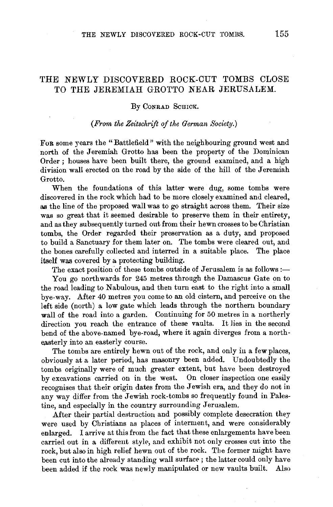## THE NEWLY DISCOVERED ROCK-CUT TOMBS CLOSE TO THE JEREMIAH GROTTO NEAR JERUSALEM.

## By CONRAD SCHICK.

## *(From the Zeitschrift of the German Society.)*

FoR some years the "Battlefield" with the neighbouring ground west and north of the Jeremiah Grotto has been the property of the Dominican Order ; houses have been built there, the ground examined, and a high division wall erected on the road by the side of the hill of the Jeremiah Grotto.

When the foundations of this latter were dug, some tombs were discovered in the rock which had to be more closely examined and cleared, as the line of the proposed wall was to go straight across them. Their size was so great that it seemed desirable to preserve them in their entirety, and as they subsequently turned out from their hewn crosses to be Christian tombs, the Order regarded their preservation as a duty, and proposed to build a Sanctuary for them later on. The tombs were cleared out, and the bones carefully collected and interred in a suitable place. The place itself was covered by a protecting building.

The exact position of these tombs outside of Jerusalem is as follows:-

You go northwards for 245 metres through the Damascus Gate on to the road leading to Nabulous, and then turn east to the right into a small bye-way. After 40 metres you come to an old cistern, and perceive on the left side (north) a low gate which leads through the northern boundary wall of the road into a garden. Continuing for 50 metres in a northerly direction you reach the entrance of these vaults. It lies in the second bend of the above-named bye-road, where it again diverges from a northeasterly into an easterly course.

The tombs are entirely hewn out of the rock, and only in a few places, obviously at a later period, has masonry been added. Undoubtedly the tombs originally were of much greater extent, but have been destroyed by excavations carried on in the west. On closer inspection one easily recognises that their origin dates from the Jewish era, and they do not in any way differ from the Jewish rock-tombs so frequently found in Palestine, and especially in the country surrounding Jerusalem.

After their partial destruction and possibly complete desecration they were used by Christians as places of interment, and were considerably enlarged. I arrive at this from the fact that these enlargements have been carried out in a different style, and exhibit not only crosses cut into the rock, but also in high relief hewn out of the rock. The former might have been cut into the already standing wall surface ; the latter could only have been added if the rock was newly manipulated or new vaults built. Also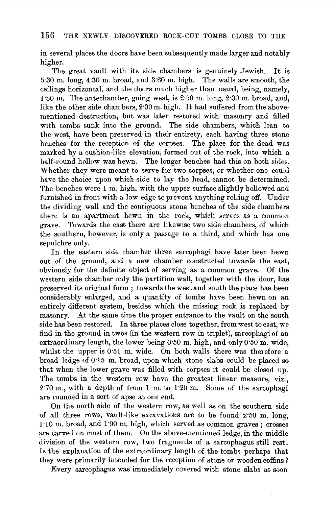## 156 THE NEWLY DISCOVERED ROCK-CUT TOMBS CLOSE TO THE

in several places the doors have been subsequently made larger and notably higher.

The great vault with its side chambers is genuinely Jewish. It is 5·30 m. long, 4·30 m. broad, and 3·60 m. high. The walls are smooth, the ceilings horizontal, and the doors much higher than usual, being, namely, J·so m. The antechamber, going west, is 2·50 m. long, 2"30 m. broad, and, like the other side chambers, 2:30 m. high. It had suffered from the abovementioned destruction, but was later restored with masonry and filled with tombs sunk into the ground. The side chambers, which lean to the west, have been preserved in their entirety, each having three stone benches for the reception of the corpses. The place for the dead was marked by a cushion-like elevation, formed out of the rock, into which a half-round hollow was hewn. The longer benches had this on both sides. Whether they were meant to serve for two corpses, or whether one could have the choice upon which side to lay the head, cannot be determined. The benches were 1 m. high, with the upper surface slightly hollowed and furnished in front with a low edge to prevent anything rolling off. Under the dividing wall and the contiguous stone benches of the side chambers there is an apartment hewn in the rock, which serves as a common grave. Towards the east there are likewise two side chambers, of which the southern, however, is only a passage to a third, and which has one sepulchre only.

In the eastern side chamber three sarcophagi have later been hewn out of the ground, and a new chamber constructed towards the east, obviously for the definite object of serving as a common grave. Of the western side chamber only the partition wall, together with the door, has preserved its original form ; towards the west and south the place has been considerably enlarged, and a quantity of tombs have been hewn on an entirely different system, besides which the missing rock is replaced by masonry. At the same time the proper entrance to the vault on the south side has been restored. In three places close together, from west to east, we find in the ground in twos (in the western row in triplet), sarcophagi of an extraordinary length, the lower being 0"50 m. high, and only 0"50 m. wide, whilst the upper is 0.51 m. wide. On both walls there was therefore a broad ledge of 0·15 m. broad, upon which stone slabs could be placed so that when the lower grave was filled with corpses it could be closed up. The tombs in the western row have the greatest linear measure, viz., 2·70 m., with a depth of from 1 m. to 1·20 m. Some of the sarcophagi are rounded in a sort of apse at one end.

On the north side of the western row, as well as on the southern side of all three rows, vault-like excavations are to be found 2·50 m. long, 1·10 m. broad, and 1·90 m. high, which served as common graves ; crosses are carved on most of them. On the above-mentioned ledge, in the middle division of the western row, two fragments of a sarcophagus still rest. Is the explanation of the extraordinary length of the tombs perhaps that they were primarily intended for the reception of stone or wooden coffins ?

Every sarcophagus was immediately covered with stone slabs as soon